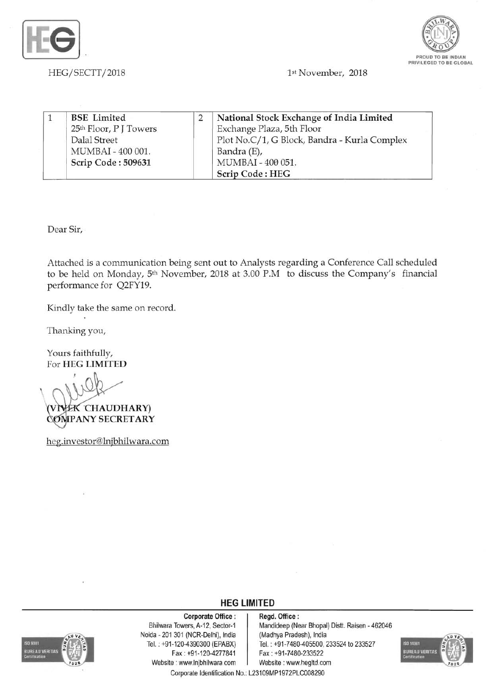



*HEG/SECTT/2018* 1st November, 2018

|  | <b>BSE</b> Limited                 | National Stock Exchange of India Limited     |
|--|------------------------------------|----------------------------------------------|
|  | 25 <sup>th</sup> Floor, P J Towers | Exchange Plaza, 5th Floor                    |
|  | Dalal Street                       | Plot No.C/1, G Block, Bandra - Kurla Complex |
|  | MUMBAI - 400 001.                  | Bandra (E),                                  |
|  | Scrip Code: 509631                 | MUMBAI - 400 051.                            |
|  |                                    | Scrip Code: HEG                              |

Dear Sir,

Attached is a communication being sent out to Analysts regarding a Conference Call scheduled to be held on Monday, 5<sup>th</sup> November, 2018 at 3.00 P.M to discuss the Company's financial performance for Q2FY19.

Kindly take the same on record.

Thanking you,

Yours faithfully, For HEG LIMITED

'CHAUDHARY)

COMPANY SECRETARY

heg.investor@lnjbhilwara.com

**HEG LIMITED** 

## Corporate Office : | Regd. Office :



Noida- 201 301 (NCR-Delhi), India (Madhya Pradesh), India Fax : +91-120-4277841 Fax: +91-7480-233522 Website: www.lnjbhilwara.com | Website: www.hegltd.com

Bhilwara Towers, A-12, Sector-1 Mandideep (Near Bhopal) Distt. Raisen - 462046 Tel. . +91-120-4390300 (EPABX) Tel. : +91 -7480-405500, 233524 to 233527



Corporate Identification No.: L23109MP1972PLC008290